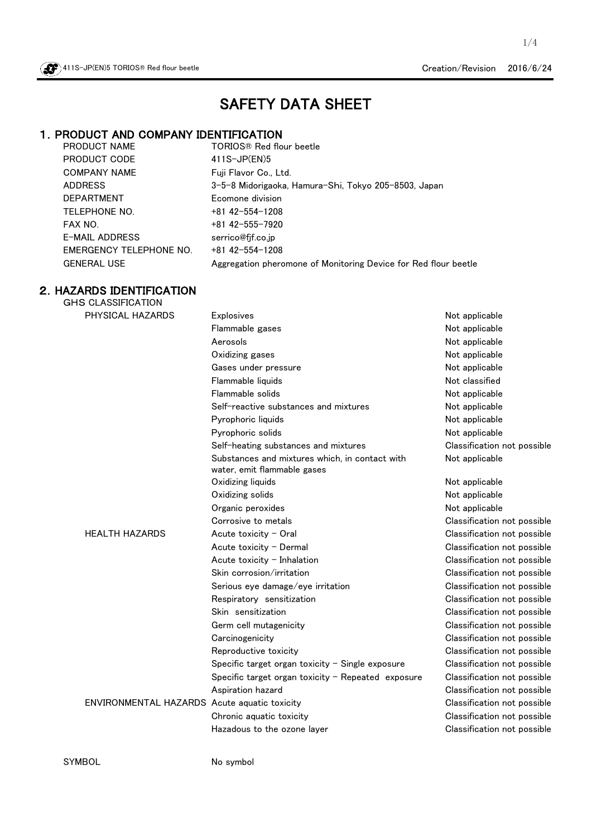

1/4

# SAFETY DATA SHEET

# 1. PRODUCT AND COMPANY IDENTIFICATION<br>PRODUCT NAME TORIOS® Red flo

PRODUCT CODE 411S-JP(EN)5 COMPANY NAME Fuji Flavor Co., Ltd. DEPARTMENT Ecomone division TELEPHONE NO. +81 42-554-1208 FAX NO.  $+81$  42-555-7920 E-MAIL ADDRESS [serrico@fjf.co.jp](mailto:serrico@fjf.co.jp) EMERGENCY TELEPHONE NO. +81 42-554-1208

TORIOS® Red flour beetle ADDRESS 3-5-8 Midorigaoka, Hamura-Shi, Tokyo 205-8503, Japan GENERAL USE Aggregation pheromone of Monitoring Device for Red flour beetle

#### 2.HAZARDS IDENTIFICATION GHS CLASSIFICATION

| PHYSICAL HAZARDS                             | <b>Explosives</b>                                                             | Not applicable              |
|----------------------------------------------|-------------------------------------------------------------------------------|-----------------------------|
|                                              | Flammable gases                                                               | Not applicable              |
|                                              | Aerosols                                                                      | Not applicable              |
|                                              | Oxidizing gases                                                               | Not applicable              |
|                                              | Gases under pressure                                                          | Not applicable              |
|                                              | Flammable liquids                                                             | Not classified              |
|                                              | Flammable solids                                                              | Not applicable              |
|                                              | Self-reactive substances and mixtures                                         | Not applicable              |
|                                              | Pyrophoric liquids                                                            | Not applicable              |
|                                              | Pyrophoric solids                                                             | Not applicable              |
|                                              | Self-heating substances and mixtures                                          | Classification not possible |
|                                              | Substances and mixtures which, in contact with<br>water, emit flammable gases | Not applicable              |
|                                              | Oxidizing liquids                                                             | Not applicable              |
|                                              | Oxidizing solids                                                              | Not applicable              |
|                                              | Organic peroxides                                                             | Not applicable              |
|                                              | Corrosive to metals                                                           | Classification not possible |
| <b>HEALTH HAZARDS</b>                        | Acute toxicity - Oral                                                         | Classification not possible |
|                                              | Acute toxicity - Dermal                                                       | Classification not possible |
|                                              | Acute toxicity $-$ Inhalation                                                 | Classification not possible |
|                                              | Skin corrosion/irritation                                                     | Classification not possible |
|                                              | Serious eye damage/eye irritation                                             | Classification not possible |
|                                              | Respiratory sensitization                                                     | Classification not possible |
|                                              | Skin sensitization                                                            | Classification not possible |
|                                              | Germ cell mutagenicity                                                        | Classification not possible |
|                                              | Carcinogenicity                                                               | Classification not possible |
|                                              | Reproductive toxicity                                                         | Classification not possible |
|                                              | Specific target organ toxicity - Single exposure                              | Classification not possible |
|                                              | Specific target organ toxicity - Repeated exposure                            | Classification not possible |
|                                              | Aspiration hazard                                                             | Classification not possible |
| ENVIRONMENTAL HAZARDS Acute aquatic toxicity |                                                                               | Classification not possible |
|                                              | Chronic aquatic toxicity                                                      | Classification not possible |
|                                              | Hazadous to the ozone layer                                                   | Classification not possible |
|                                              |                                                                               |                             |

SYMBOL No symbol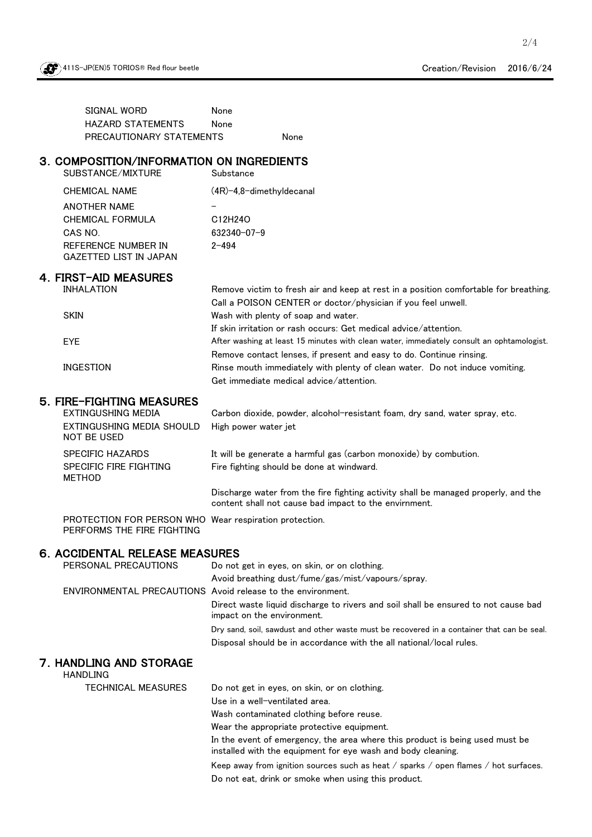

2/4

SIGNAL WORD None None None PRECAUTIONARY STATEMENTS HAZARD STATEMENTS

# 3.COMPOSITION/INFORMATION ON INGREDIENTS

| 3. COMPOSITION/INFORMATION ON INGREDIENTS<br>SUBSTANCE/MIXTURE                       | Substance                                                                                                                                   |
|--------------------------------------------------------------------------------------|---------------------------------------------------------------------------------------------------------------------------------------------|
| <b>CHEMICAL NAME</b>                                                                 | $(4R)$ -4,8-dimethyldecanal                                                                                                                 |
| <b>ANOTHER NAME</b>                                                                  |                                                                                                                                             |
| <b>CHEMICAL FORMULA</b>                                                              | C12H24O                                                                                                                                     |
| CAS NO.                                                                              | 632340-07-9                                                                                                                                 |
| REFERENCE NUMBER IN                                                                  | $2 - 494$                                                                                                                                   |
| <b>GAZETTED LIST IN JAPAN</b>                                                        |                                                                                                                                             |
| 4. FIRST-AID MEASURES                                                                |                                                                                                                                             |
| <b>INHALATION</b>                                                                    | Remove victim to fresh air and keep at rest in a position comfortable for breathing.                                                        |
|                                                                                      | Call a POISON CENTER or doctor/physician if you feel unwell.                                                                                |
| <b>SKIN</b>                                                                          | Wash with plenty of soap and water.                                                                                                         |
|                                                                                      | If skin irritation or rash occurs: Get medical advice/attention.                                                                            |
| <b>EYE</b>                                                                           | After washing at least 15 minutes with clean water, immediately consult an ophtamologist.                                                   |
|                                                                                      | Remove contact lenses, if present and easy to do. Continue rinsing.                                                                         |
| <b>INGESTION</b>                                                                     | Rinse mouth immediately with plenty of clean water. Do not induce vomiting.                                                                 |
|                                                                                      | Get immediate medical advice/attention.                                                                                                     |
| 5. FIRE-FIGHTING MEASURES                                                            |                                                                                                                                             |
| <b>EXTINGUSHING MEDIA</b>                                                            | Carbon dioxide, powder, alcohol-resistant foam, dry sand, water spray, etc.                                                                 |
| EXTINGUSHING MEDIA SHOULD<br><b>NOT BE USED</b>                                      | High power water jet                                                                                                                        |
| <b>SPECIFIC HAZARDS</b>                                                              | It will be generate a harmful gas (carbon monoxide) by combution.                                                                           |
| SPECIFIC FIRE FIGHTING<br><b>METHOD</b>                                              | Fire fighting should be done at windward.                                                                                                   |
|                                                                                      | Discharge water from the fire fighting activity shall be managed properly, and the<br>content shall not cause bad impact to the envirnment. |
| PROTECTION FOR PERSON WHO Wear respiration protection.<br>PERFORMS THE FIRE FIGHTING |                                                                                                                                             |
| 6. ACCIDENTAL RELEASE MEASURES                                                       |                                                                                                                                             |
| PERSONAL PRECAUTIONS                                                                 | Do not get in eyes, on skin, or on clothing.                                                                                                |
|                                                                                      | Avoid breathing dust/fume/gas/mist/vapours/spray.                                                                                           |
| ENVIRONMENTAL PRECAUTIONS Avoid release to the environment.                          |                                                                                                                                             |
|                                                                                      | Direct waste liquid discharge to rivers and soil shall be ensured to not cause bad                                                          |
|                                                                                      | impact on the environment.                                                                                                                  |
|                                                                                      | Dry sand, soil, sawdust and other waste must be recovered in a container that can be seal.                                                  |
|                                                                                      | Disposal should be in accordance with the all national/local rules.                                                                         |
| 7. HANDLING AND STORAGE<br><b>HANDLING</b>                                           |                                                                                                                                             |
| <b>TECHNICAL MEASURES</b>                                                            | Do not get in eyes, on skin, or on clothing.                                                                                                |
|                                                                                      | Use in a well-ventilated area.                                                                                                              |

Wash contaminated clothing before reuse.

Wear the appropriate protective equipment.

In the event of emergency, the area where this product is being used must be installed with the equipment for eye wash and body cleaning.

Keep away from ignition sources such as heat / sparks / open flames / hot surfaces. Do not eat, drink or smoke when using this product.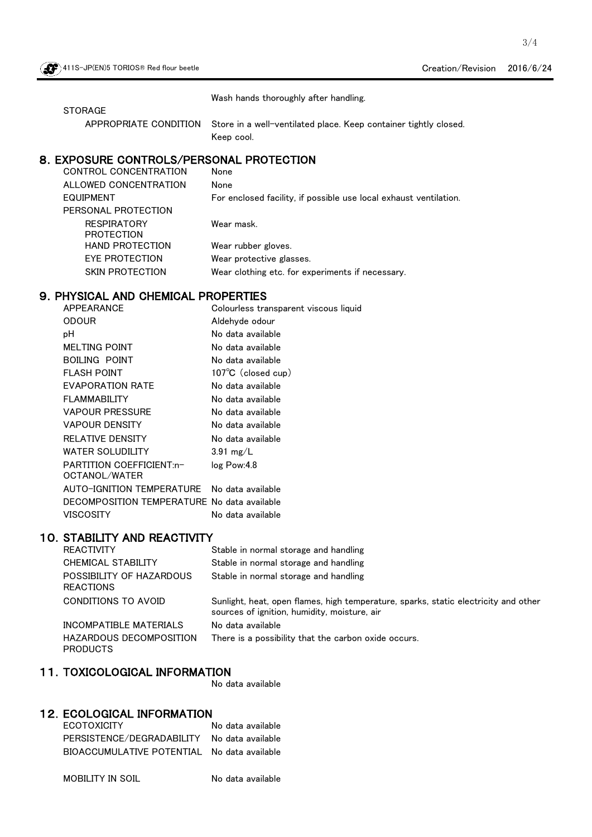Wash hands thoroughly after handling.

**STORAGE** 

APPROPRIATE CONDITION Store in a well-ventilated place. Keep container tightly closed. Keep cool.

#### 8.EXPOSURE CONTROLS/PERSONAL PROTECTION

| CONTROL CONCENTRATION                   | None                                                              |
|-----------------------------------------|-------------------------------------------------------------------|
| ALLOWED CONCENTRATION                   | None                                                              |
| <b>EQUIPMENT</b>                        | For enclosed facility, if possible use local exhaust ventilation. |
| PERSONAL PROTECTION                     |                                                                   |
| <b>RESPIRATORY</b><br><b>PROTECTION</b> | Wear mask.                                                        |
| <b>HAND PROTECTION</b>                  | Wear rubber gloves.                                               |
| EYE PROTECTION                          | Wear protective glasses.                                          |
| SKIN PROTECTION                         | Wear clothing etc. for experiments if necessary.                  |

# 9. PHYSICAL AND CHEMICAL PROPERTIES

| APPEARANCE                                   | Colourless transparent viscous liquid                                                                            |
|----------------------------------------------|------------------------------------------------------------------------------------------------------------------|
| <b>ODOUR</b>                                 | Aldehyde odour                                                                                                   |
| рH                                           | No data available                                                                                                |
| <b>MELTING POINT</b>                         | No data available                                                                                                |
| <b>BOILING POINT</b>                         | No data available                                                                                                |
| <b>FLASH POINT</b>                           | 107°C (closed cup)                                                                                               |
| <b>EVAPORATION RATE</b>                      | No data available                                                                                                |
| <b>FLAMMABILITY</b>                          | No data available                                                                                                |
| <b>VAPOUR PRESSURE</b>                       | No data available                                                                                                |
| <b>VAPOUR DENSITY</b>                        | No data available                                                                                                |
| <b>RELATIVE DENSITY</b>                      | No data available                                                                                                |
| <b>WATER SOLUDILITY</b>                      | $3.91$ mg/L                                                                                                      |
| PARTITION COEFFICIENT:n-<br>OCTANOL/WATER    | log Pow:4.8                                                                                                      |
| AUTO-IGNITION TEMPERATURE                    | No data available                                                                                                |
| DECOMPOSITION TEMPERATURE No data available  |                                                                                                                  |
| <b>VISCOSITY</b>                             | No data available                                                                                                |
| <b>10. STABILITY AND REACTIVITY</b>          |                                                                                                                  |
| <b>REACTIVITY</b>                            | Stable in normal storage and handling                                                                            |
| CHEMICAL STABILITY                           | Stable in normal storage and handling                                                                            |
| POSSIBILITY OF HAZARDOUS<br><b>REACTIONS</b> | Stable in normal storage and handling                                                                            |
| CONDITIONS TO AVOID                          | Sunlight, heat, open flames, high temperature, sparks, static of<br>sources of ignition, humidity, moisture, air |

HAZARDOUS DECOMPOSITION PRODUCTS INCOMPATIBLE MATERIALS No data available

There is a possibility that the carbon oxide occurs. electricity and other sources of ignition, humidity, moisture, air

## 11.TOXICOLOGICAL INFORMATION

No data available

### 12.ECOLOGICAL INFORMATION

| <b>ECOTOXICITY</b>                          | No data available |
|---------------------------------------------|-------------------|
| PERSISTENCE/DEGRADABILITY No data available |                   |
| BIOACCUMULATIVE POTENTIAL No data available |                   |

MOBILITY IN SOIL No data available

3/4